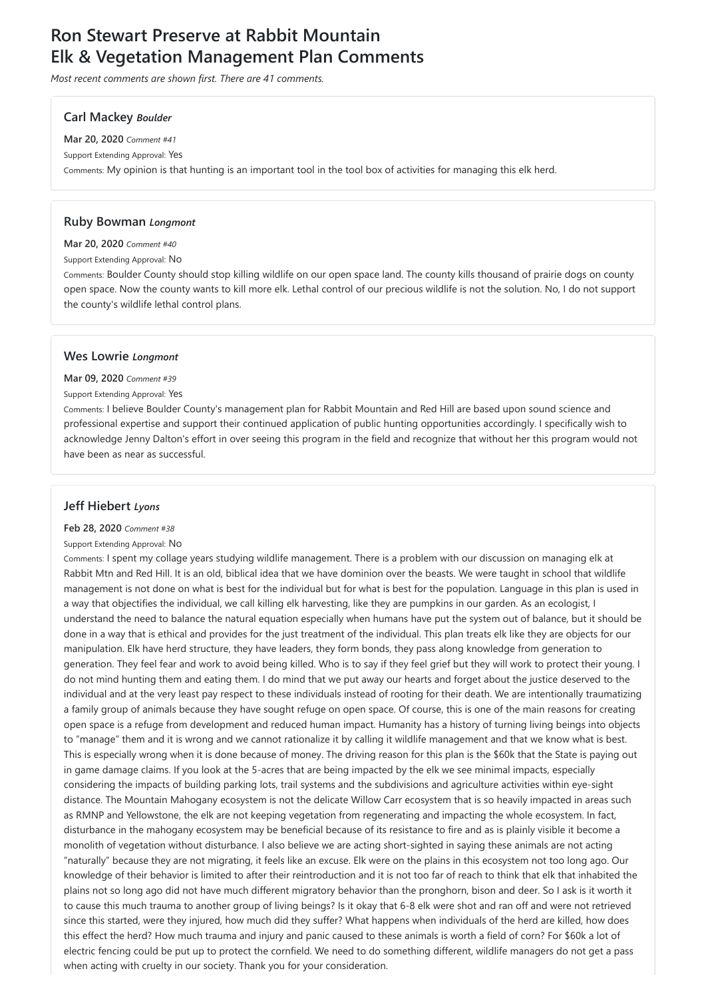# **Ron Stewart Preserve at Rabbit Mountain Elk & Vegetation Management Plan Comments**

*Most recent comments are shown first. There are 41 comments.*

### **Carl Mackey** *Boulder*

**Mar 20, 2020** *Comment #41* Support Extending Approval: Yes Comments: My opinion is that hunting is an important tool in the tool box of activities for managing this elk herd.

### **Ruby Bowman** *Longmont*

### **Mar 20, 2020** *Comment #40*

Support Extending Approval: No

Comments: Boulder County should stop killing wildlife on our open space land. The county kills thousand of prairie dogs on county open space. Now the county wants to kill more elk. Lethal control of our precious wildlife is not the solution. No, I do not support the county's wildlife lethal control plans.

# **Wes Lowrie** *Longmont*

### **Mar 09, 2020** *Comment #39*

Support Extending Approval: Yes

Comments: I believe Boulder County's management plan for Rabbit Mountain and Red Hill are based upon sound science and professional expertise and support their continued application of public hunting opportunities accordingly. I specifically wish to acknowledge Jenny Dalton's effort in over seeing this program in the field and recognize that without her this program would not have been as near as successful.

# **Jeff Hiebert** *Lyons*

### **Feb 28, 2020** *Comment #38*

### Support Extending Approval: No

Comments: I spent my collage years studying wildlife management. There is a problem with our discussion on managing elk at Rabbit Mtn and Red Hill. It is an old, biblical idea that we have dominion over the beasts. We were taught in school that wildlife management is not done on what is best for the individual but for what is best for the population. Language in this plan is used in a way that objectifies the individual, we call killing elk harvesting, like they are pumpkins in our garden. As an ecologist, I understand the need to balance the natural equation especially when humans have put the system out of balance, but it should be done in a way that is ethical and provides for the just treatment of the individual. This plan treats elk like they are objects for our manipulation. Elk have herd structure, they have leaders, they form bonds, they pass along knowledge from generation to generation. They feel fear and work to avoid being killed. Who is to say if they feel grief but they will work to protect their young. I do not mind hunting them and eating them. I do mind that we put away our hearts and forget about the justice deserved to the individual and at the very least pay respect to these individuals instead of rooting for their death. We are intentionally traumatizing a family group of animals because they have sought refuge on open space. Of course, this is one of the main reasons for creating open space is a refuge from development and reduced human impact. Humanity has a history of turning living beings into objects to "manage" them and it is wrong and we cannot rationalize it by calling it wildlife management and that we know what is best. This is especially wrong when it is done because of money. The driving reason for this plan is the \$60k that the State is paying out in game damage claims. If you look at the 5-acres that are being impacted by the elk we see minimal impacts, especially considering the impacts of building parking lots, trail systems and the subdivisions and agriculture activities within eye-sight distance. The Mountain Mahogany ecosystem is not the delicate Willow Carr ecosystem that is so heavily impacted in areas such as RMNP and Yellowstone, the elk are not keeping vegetation from regenerating and impacting the whole ecosystem. In fact, disturbance in the mahogany ecosystem may be beneficial because of its resistance to fire and as is plainly visible it become a monolith of vegetation without disturbance. I also believe we are acting short-sighted in saying these animals are not acting "naturally" because they are not migrating, it feels like an excuse. Elk were on the plains in this ecosystem not too long ago. Our knowledge of their behavior is limited to after their reintroduction and it is not too far of reach to think that elk that inhabited the plains not so long ago did not have much different migratory behavior than the pronghorn, bison and deer. So I ask is it worth it to cause this much trauma to another group of living beings? Is it okay that 6-8 elk were shot and ran off and were not retrieved since this started, were they injured, how much did they suffer? What happens when individuals of the herd are killed, how does this effect the herd? How much trauma and injury and panic caused to these animals is worth a field of corn? For \$60k a lot of electric fencing could be put up to protect the cornfield. We need to do something different, wildlife managers do not get a pass when acting with cruelty in our society. Thank you for your consideration.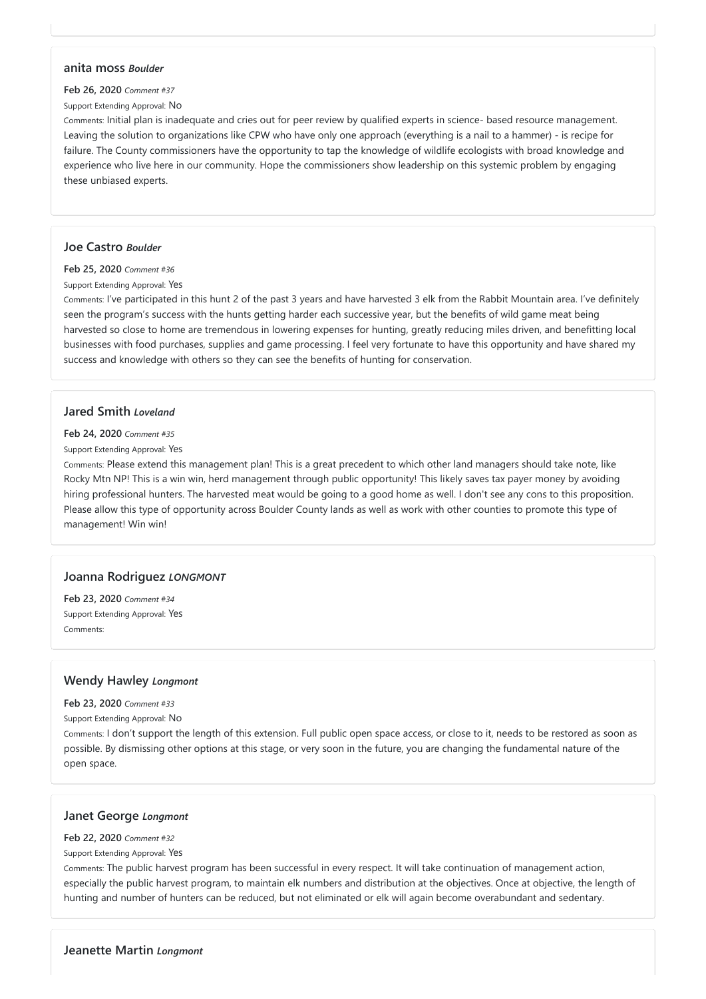### **anita moss** *Boulder*

#### **Feb 26, 2020** *Comment #37*

#### Support Extending Approval: No

Comments: Initial plan is inadequate and cries out for peer review by qualified experts in science- based resource management. Leaving the solution to organizations like CPW who have only one approach (everything is a nail to a hammer) - is recipe for failure. The County commissioners have the opportunity to tap the knowledge of wildlife ecologists with broad knowledge and experience who live here in our community. Hope the commissioners show leadership on this systemic problem by engaging these unbiased experts.

### **Joe Castro** *Boulder*

**Feb 25, 2020** *Comment #36*

Support Extending Approval: Yes

Comments: I've participated in this hunt 2 of the past 3 years and have harvested 3 elk from the Rabbit Mountain area. I've definitely seen the program's success with the hunts getting harder each successive year, but the benefits of wild game meat being harvested so close to home are tremendous in lowering expenses for hunting, greatly reducing miles driven, and benefitting local businesses with food purchases, supplies and game processing. I feel very fortunate to have this opportunity and have shared my success and knowledge with others so they can see the benefits of hunting for conservation.

### **Jared Smith** *Loveland*

#### **Feb 24, 2020** *Comment #35*

#### Support Extending Approval: Yes

Comments: Please extend this management plan! This is a great precedent to which other land managers should take note, like Rocky Mtn NP! This is a win win, herd management through public opportunity! This likely saves tax payer money by avoiding hiring professional hunters. The harvested meat would be going to a good home as well. I don't see any cons to this proposition. Please allow this type of opportunity across Boulder County lands as well as work with other counties to promote this type of management! Win win!

# **Joanna Rodriguez** *LONGMONT*

**Feb 23, 2020** *Comment #34* Support Extending Approval: Yes Comments:

# **Wendy Hawley** *Longmont*

#### **Feb 23, 2020** *Comment #33*

Support Extending Approval: No

Comments: I don't support the length of this extension. Full public open space access, or close to it, needs to be restored as soon as possible. By dismissing other options at this stage, or very soon in the future, you are changing the fundamental nature of the

open space.

# **Janet George** *Longmont*

**Feb 22, 2020** *Comment #32*

Support Extending Approval: Yes

Comments: The public harvest program has been successful in every respect. It will take continuation of management action, especially the public harvest program, to maintain elk numbers and distribution at the objectives. Once at objective, the length of hunting and number of hunters can be reduced, but not eliminated or elk will again become overabundant and sedentary.

**Jeanette Martin** *Longmont*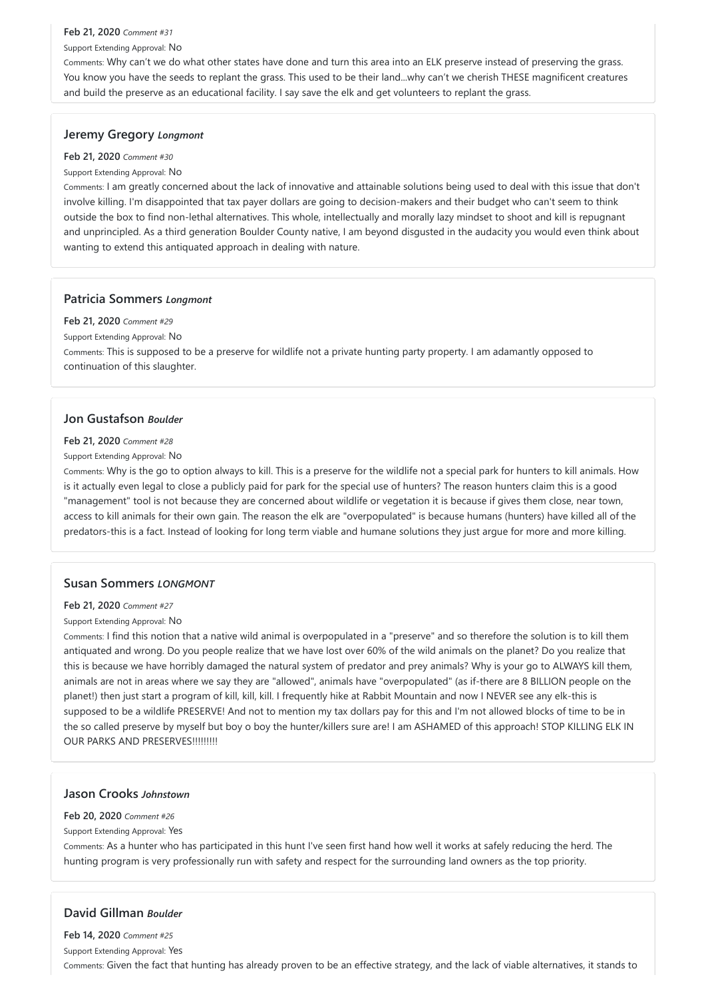#### **Feb 21, 2020** *Comment #31*

Support Extending Approval: No

Comments: Why can't we do what other states have done and turn this area into an ELK preserve instead of preserving the grass. You know you have the seeds to replant the grass. This used to be their land...why can't we cherish THESE magnificent creatures and build the preserve as an educational facility. I say save the elk and get volunteers to replant the grass.

### **Jeremy Gregory** *Longmont*

#### **Feb 21, 2020** *Comment #30*

#### Support Extending Approval: No

Comments: I am greatly concerned about the lack of innovative and attainable solutions being used to deal with this issue that don't involve killing. I'm disappointed that tax payer dollars are going to decision-makers and their budget who can't seem to think outside the box to find non-lethal alternatives. This whole, intellectually and morally lazy mindset to shoot and kill is repugnant and unprincipled. As a third generation Boulder County native, I am beyond disgusted in the audacity you would even think about wanting to extend this antiquated approach in dealing with nature.

Comments: I find this notion that a native wild animal is overpopulated in a "preserve" and so therefore the solution is to kill them antiquated and wrong. Do you people realize that we have lost over 60% of the wild animals on the planet? Do you realize that this is because we have horribly damaged the natural system of predator and prey animals? Why is your go to ALWAYS kill them, animals are not in areas where we say they are "allowed", animals have "overpopulated" (as if-there are 8 BILLION people on the planet!) then just start a program of kill, kill, kill. I frequently hike at Rabbit Mountain and now I NEVER see any elk-this is supposed to be a wildlife PRESERVE! And not to mention my tax dollars pay for this and I'm not allowed blocks of time to be in the so called preserve by myself but boy o boy the hunter/killers sure are! I am ASHAMED of this approach! STOP KILLING ELK IN OUR PARKS AND PRESERVES!!!!!!!!!!

### **Patricia Sommers** *Longmont*

### **Feb 21, 2020** *Comment #29*

Support Extending Approval: No

Comments: This is supposed to be a preserve for wildlife not a private hunting party property. I am adamantly opposed to continuation of this slaughter.

# **Jon Gustafson** *Boulder*

### **Feb 21, 2020** *Comment #28*

### Support Extending Approval: No

Comments: Why is the go to option always to kill. This is a preserve for the wildlife not a special park for hunters to kill animals. How is it actually even legal to close a publicly paid for park for the special use of hunters? The reason hunters claim this is a good "management" tool is not because they are concerned about wildlife or vegetation it is because if gives them close, near town, access to kill animals for their own gain. The reason the elk are "overpopulated" is because humans (hunters) have killed all of the predators-this is a fact. Instead of looking for long term viable and humane solutions they just argue for more and more killing.

### **Susan Sommers** *LONGMONT*

#### **Feb 21, 2020** *Comment #27*

#### Support Extending Approval: No

### **Jason Crooks** *Johnstown*

#### **Feb 20, 2020** *Comment #26*

#### Support Extending Approval: Yes

Comments: As a hunter who has participated in this hunt I've seen first hand how well it works at safely reducing the herd. The hunting program is very professionally run with safety and respect for the surrounding land owners as the top priority.

# **David Gillman** *Boulder*

**Feb 14, 2020** *Comment #25*

Support Extending Approval: Yes

Comments: Given the fact that hunting has already proven to be an effective strategy, and the lack of viable alternatives, it stands to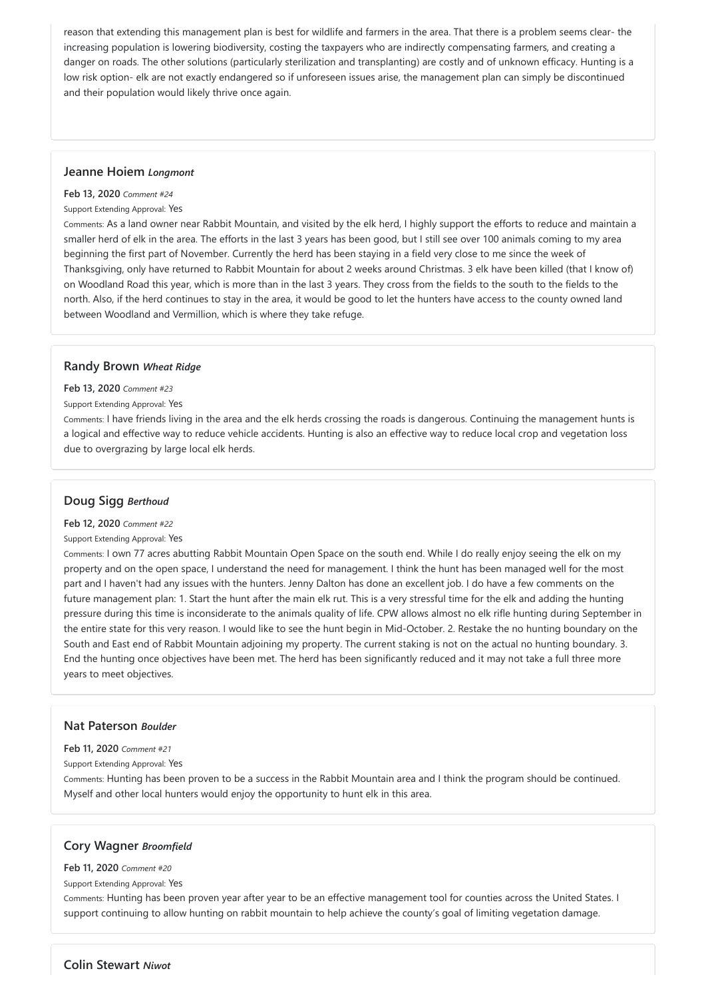reason that extending this management plan is best for wildlife and farmers in the area. That there is a problem seems clear- the increasing population is lowering biodiversity, costing the taxpayers who are indirectly compensating farmers, and creating a danger on roads. The other solutions (particularly sterilization and transplanting) are costly and of unknown efficacy. Hunting is a low risk option- elk are not exactly endangered so if unforeseen issues arise, the management plan can simply be discontinued and their population would likely thrive once again.

### **Jeanne Hoiem** *Longmont*

#### **Feb 13, 2020** *Comment #24*

#### Support Extending Approval: Yes

Comments: As a land owner near Rabbit Mountain, and visited by the elk herd, I highly support the efforts to reduce and maintain a smaller herd of elk in the area. The efforts in the last 3 years has been good, but I still see over 100 animals coming to my area beginning the first part of November. Currently the herd has been staying in a field very close to me since the week of Thanksgiving, only have returned to Rabbit Mountain for about 2 weeks around Christmas. 3 elk have been killed (that I know of) on Woodland Road this year, which is more than in the last 3 years. They cross from the fields to the south to the fields to the north. Also, if the herd continues to stay in the area, it would be good to let the hunters have access to the county owned land between Woodland and Vermillion, which is where they take refuge.

#### **Randy Brown** *Wheat Ridge*

#### **Feb 13, 2020** *Comment #23*

#### Support Extending Approval: Yes

Comments: I have friends living in the area and the elk herds crossing the roads is dangerous. Continuing the management hunts is a logical and effective way to reduce vehicle accidents. Hunting is also an effective way to reduce local crop and vegetation loss due to overgrazing by large local elk herds.

### **Doug Sigg** *Berthoud*

#### **Feb 12, 2020** *Comment #22*

#### Support Extending Approval: Yes

Comments: I own 77 acres abutting Rabbit Mountain Open Space on the south end. While I do really enjoy seeing the elk on my property and on the open space, I understand the need for management. I think the hunt has been managed well for the most part and I haven't had any issues with the hunters. Jenny Dalton has done an excellent job. I do have a few comments on the future management plan: 1. Start the hunt after the main elk rut. This is a very stressful time for the elk and adding the hunting pressure during this time is inconsiderate to the animals quality of life. CPW allows almost no elk rifle hunting during September in the entire state for this very reason. I would like to see the hunt begin in Mid-October. 2. Restake the no hunting boundary on the South and East end of Rabbit Mountain adjoining my property. The current staking is not on the actual no hunting boundary. 3. End the hunting once objectives have been met. The herd has been significantly reduced and it may not take a full three more years to meet objectives.

#### **Nat Paterson** *Boulder*

**Feb 11, 2020** *Comment #21*

Support Extending Approval: Yes

Comments: Hunting has been proven to be a success in the Rabbit Mountain area and I think the program should be continued. Myself and other local hunters would enjoy the opportunity to hunt elk in this area.

**Cory Wagner** *Broomfield*

**Feb 11, 2020** *Comment #20*

Support Extending Approval: Yes

Comments: Hunting has been proven year after year to be an effective management tool for counties across the United States. I support continuing to allow hunting on rabbit mountain to help achieve the county's goal of limiting vegetation damage.

**Colin Stewart** *Niwot*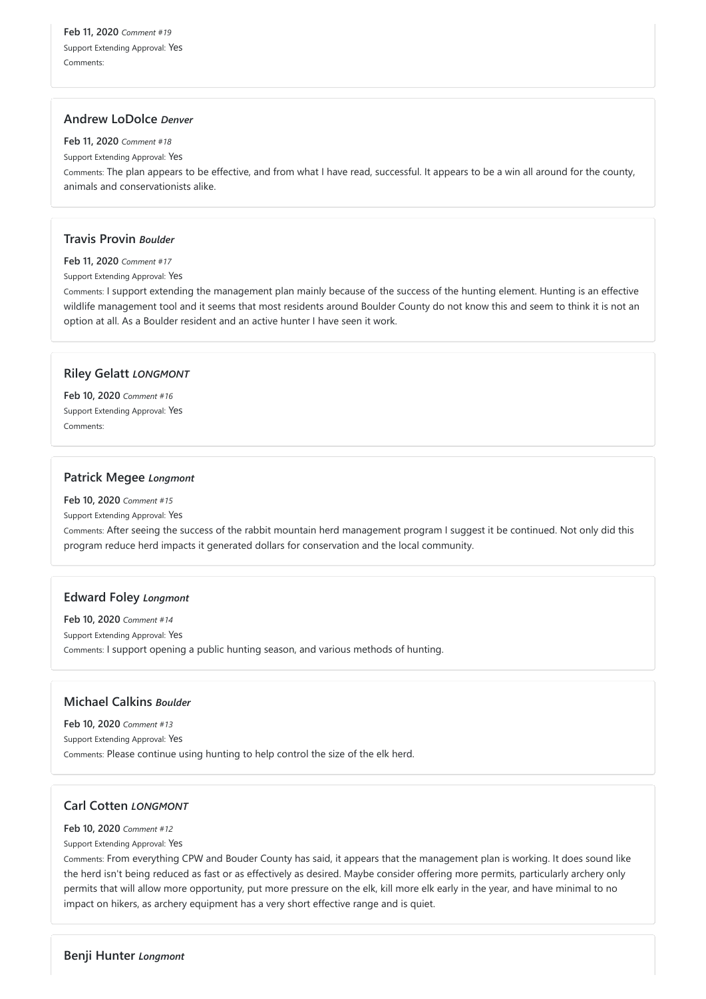**Feb 11, 2020** *Comment #19* Support Extending Approval: Yes Comments:

### **Andrew LoDolce** *Denver*

**Feb 11, 2020** *Comment #18*

Support Extending Approval: Yes

Comments: The plan appears to be effective, and from what I have read, successful. It appears to be a win all around for the county, animals and conservationists alike.

### **Travis Provin** *Boulder*

**Feb 11, 2020** *Comment #17*

Support Extending Approval: Yes

Comments: I support extending the management plan mainly because of the success of the hunting element. Hunting is an effective wildlife management tool and it seems that most residents around Boulder County do not know this and seem to think it is not an option at all. As a Boulder resident and an active hunter I have seen it work.

# **Riley Gelatt** *LONGMONT*

**Feb 10, 2020** *Comment #16* Support Extending Approval: Yes Comments:

# **Patrick Megee** *Longmont*

**Feb 10, 2020** *Comment #15*

Support Extending Approval: Yes

Comments: After seeing the success of the rabbit mountain herd management program I suggest it be continued. Not only did this program reduce herd impacts it generated dollars for conservation and the local community.

# **Edward Foley** *Longmont*

**Feb 10, 2020** *Comment #14* Support Extending Approval: Yes Comments: I support opening a public hunting season, and various methods of hunting.

# **Michael Calkins** *Boulder*

**Feb 10, 2020** *Comment #13* Support Extending Approval: Yes

# **Carl Cotten** *LONGMONT*

#### **Feb 10, 2020** *Comment #12*

Support Extending Approval: Yes

Comments: From everything CPW and Bouder County has said, it appears that the management plan is working. It does sound like the herd isn't being reduced as fast or as effectively as desired. Maybe consider offering more permits, particularly archery only permits that will allow more opportunity, put more pressure on the elk, kill more elk early in the year, and have minimal to no impact on hikers, as archery equipment has a very short effective range and is quiet.

**Benji Hunter** *Longmont*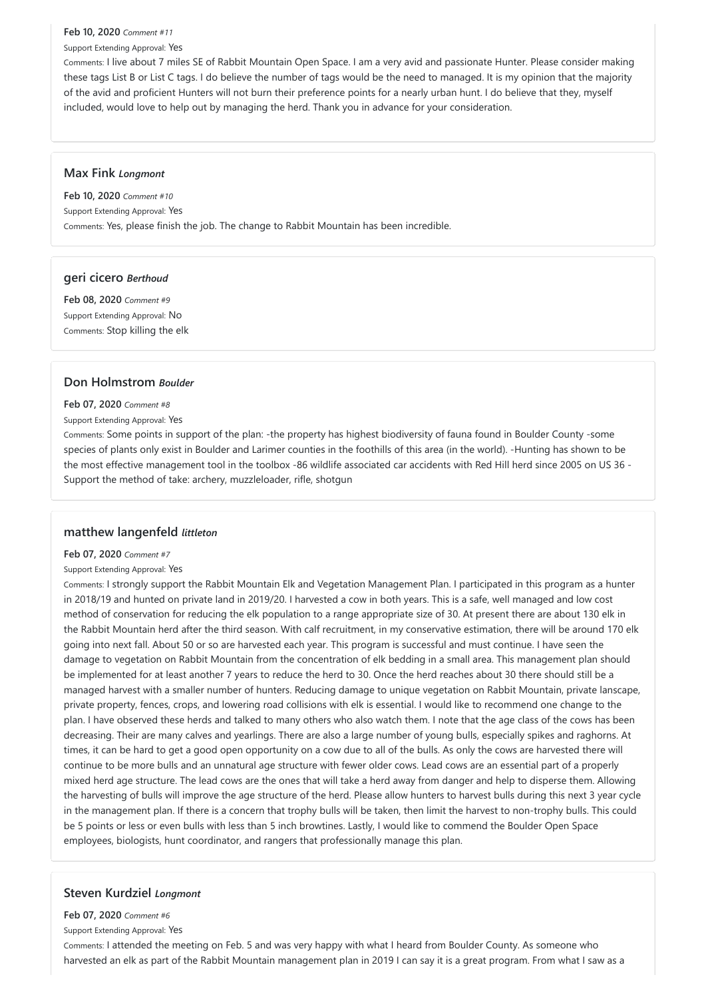### **Feb 10, 2020** *Comment #11*

Support Extending Approval: Yes

Comments: I live about 7 miles SE of Rabbit Mountain Open Space. I am a very avid and passionate Hunter. Please consider making these tags List B or List C tags. I do believe the number of tags would be the need to managed. It is my opinion that the majority of the avid and proficient Hunters will not burn their preference points for a nearly urban hunt. I do believe that they, myself included, would love to help out by managing the herd. Thank you in advance for your consideration.

### **Max Fink** *Longmont*

**Feb 10, 2020** *Comment #10* Support Extending Approval: Yes Comments: Yes, please finish the job. The change to Rabbit Mountain has been incredible.

# **geri cicero** *Berthoud*

**Feb 08, 2020** *Comment #9* Support Extending Approval: No Comments: Stop killing the elk

# **Don Holmstrom** *Boulder*

### **Feb 07, 2020** *Comment #8*

### Support Extending Approval: Yes

Comments: Some points in support of the plan: -the property has highest biodiversity of fauna found in Boulder County -some species of plants only exist in Boulder and Larimer counties in the foothills of this area (in the world). -Hunting has shown to be the most effective management tool in the toolbox -86 wildlife associated car accidents with Red Hill herd since 2005 on US 36 - Support the method of take: archery, muzzleloader, rifle, shotgun

# **matthew langenfeld** *littleton*

### **Feb 07, 2020** *Comment #7*

### Support Extending Approval: Yes

Comments: I strongly support the Rabbit Mountain Elk and Vegetation Management Plan. I participated in this program as a hunter in 2018/19 and hunted on private land in 2019/20. I harvested a cow in both years. This is a safe, well managed and low cost method of conservation for reducing the elk population to a range appropriate size of 30. At present there are about 130 elk in the Rabbit Mountain herd after the third season. With calf recruitment, in my conservative estimation, there will be around 170 elk going into next fall. About 50 or so are harvested each year. This program is successful and must continue. I have seen the damage to vegetation on Rabbit Mountain from the concentration of elk bedding in a small area. This management plan should be implemented for at least another 7 years to reduce the herd to 30. Once the herd reaches about 30 there should still be a managed harvest with a smaller number of hunters. Reducing damage to unique vegetation on Rabbit Mountain, private lanscape, private property, fences, crops, and lowering road collisions with elk is essential. I would like to recommend one change to the plan. I have observed these herds and talked to many others who also watch them. I note that the age class of the cows has been decreasing. Their are many calves and yearlings. There are also a large number of young bulls, especially spikes and raghorns. At times, it can be hard to get a good open opportunity on a cow due to all of the bulls. As only the cows are harvested there will continue to be more bulls and an unnatural age structure with fewer older cows. Lead cows are an essential part of a properly mixed herd age structure. The lead cows are the ones that will take a herd away from danger and help to disperse them. Allowing the harvesting of bulls will improve the age structure of the herd. Please allow hunters to harvest bulls during this next 3 year cycle in the management plan. If there is a concern that trophy bulls will be taken, then limit the harvest to non-trophy bulls. This could be 5 points or less or even bulls with less than 5 inch browtines. Lastly, I would like to commend the Boulder Open Space employees, biologists, hunt coordinator, and rangers that professionally manage this plan.

# **Steven Kurdziel** *Longmont*

#### **Feb 07, 2020** *Comment #6*

Support Extending Approval: Yes

Comments: I attended the meeting on Feb. 5 and was very happy with what I heard from Boulder County. As someone who harvested an elk as part of the Rabbit Mountain management plan in 2019 I can say it is a great program. From what I saw as a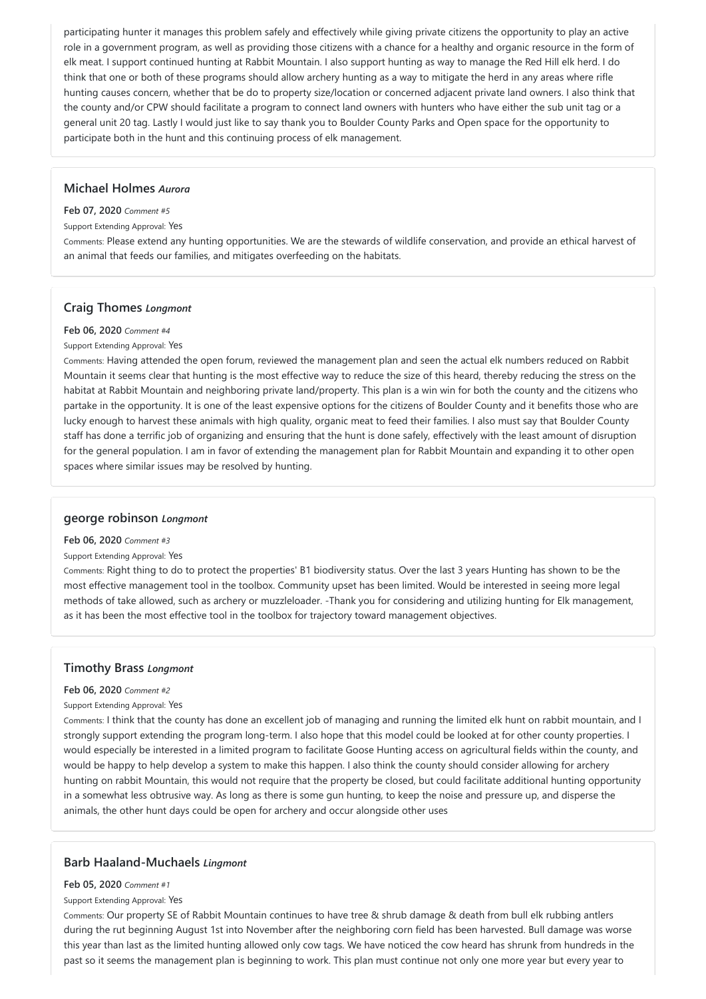participating hunter it manages this problem safely and effectively while giving private citizens the opportunity to play an active role in a government program, as well as providing those citizens with a chance for a healthy and organic resource in the form of elk meat. I support continued hunting at Rabbit Mountain. I also support hunting as way to manage the Red Hill elk herd. I do think that one or both of these programs should allow archery hunting as a way to mitigate the herd in any areas where rifle hunting causes concern, whether that be do to property size/location or concerned adjacent private land owners. I also think that the county and/or CPW should facilitate a program to connect land owners with hunters who have either the sub unit tag or a general unit 20 tag. Lastly I would just like to say thank you to Boulder County Parks and Open space for the opportunity to participate both in the hunt and this continuing process of elk management.

### **Michael Holmes** *Aurora*

#### **Feb 07, 2020** *Comment #5*

Support Extending Approval: Yes

Comments: Please extend any hunting opportunities. We are the stewards of wildlife conservation, and provide an ethical harvest of an animal that feeds our families, and mitigates overfeeding on the habitats.

### **Craig Thomes** *Longmont*

#### **Feb 06, 2020** *Comment #4*

#### Support Extending Approval: Yes

Comments: Having attended the open forum, reviewed the management plan and seen the actual elk numbers reduced on Rabbit Mountain it seems clear that hunting is the most effective way to reduce the size of this heard, thereby reducing the stress on the habitat at Rabbit Mountain and neighboring private land/property. This plan is a win win for both the county and the citizens who partake in the opportunity. It is one of the least expensive options for the citizens of Boulder County and it benefits those who are lucky enough to harvest these animals with high quality, organic meat to feed their families. I also must say that Boulder County staff has done a terrific job of organizing and ensuring that the hunt is done safely, effectively with the least amount of disruption for the general population. I am in favor of extending the management plan for Rabbit Mountain and expanding it to other open spaces where similar issues may be resolved by hunting.

### **george robinson** *Longmont*

#### **Feb 06, 2020** *Comment #3*

#### Support Extending Approval: Yes

Comments: Right thing to do to protect the properties' B1 biodiversity status. Over the last 3 years Hunting has shown to be the most effective management tool in the toolbox. Community upset has been limited. Would be interested in seeing more legal methods of take allowed, such as archery or muzzleloader. -Thank you for considering and utilizing hunting for Elk management, as it has been the most effective tool in the toolbox for trajectory toward management objectives.

### **Timothy Brass** *Longmont*

#### **Feb 06, 2020** *Comment #2*

#### Support Extending Approval: Yes

Comments: I think that the county has done an excellent job of managing and running the limited elk hunt on rabbit mountain, and I strongly support extending the program long-term. I also hope that this model could be looked at for other county properties. I would especially be interested in a limited program to facilitate Goose Hunting access on agricultural fields within the county, and would be happy to help develop a system to make this happen. I also think the county should consider allowing for archery hunting on rabbit Mountain, this would not require that the property be closed, but could facilitate additional hunting opportunity in a somewhat less obtrusive way. As long as there is some gun hunting, to keep the noise and pressure up, and disperse the animals, the other hunt days could be open for archery and occur alongside other uses

# **Barb Haaland-Muchaels** *Lingmont*

**Feb 05, 2020** *Comment #1*

Support Extending Approval: Yes

Comments: Our property SE of Rabbit Mountain continues to have tree & shrub damage & death from bull elk rubbing antlers during the rut beginning August 1st into November after the neighboring corn field has been harvested. Bull damage was worse this year than last as the limited hunting allowed only cow tags. We have noticed the cow heard has shrunk from hundreds in the past so it seems the management plan is beginning to work. This plan must continue not only one more year but every year to